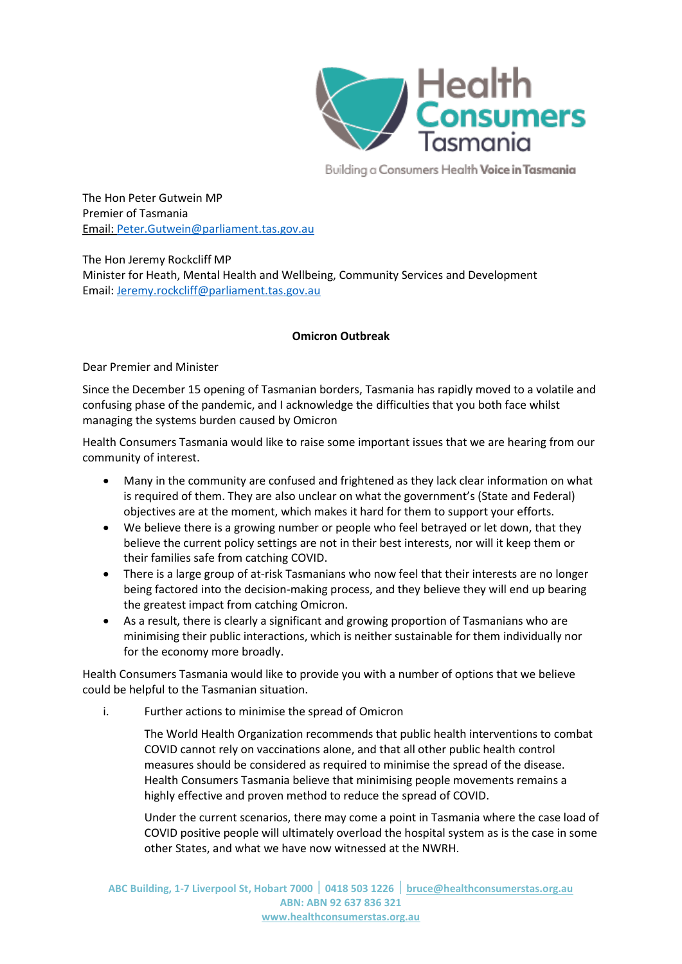

Building a Consumers Health Voice in Tasmania

The Hon Peter Gutwein MP Premier of Tasmania [Email:](mailto:Lyn.Wright@health.tas.gov.au) [Peter.Gutwein@parliament.tas.gov.au](mailto:Peter.Gutwein@parliament.tas.gov.au)

The Hon Jeremy Rockcliff MP Minister for Heath, Mental Health and Wellbeing, Community Services and Development Email: [Jeremy.rockcliff@parliament.tas.gov.au](mailto:Jeremy.rockcliff@parliament.tas.gov.au)

# **Omicron Outbreak**

Dear Premier and Minister

Since the December 15 opening of Tasmanian borders, Tasmania has rapidly moved to a volatile and confusing phase of the pandemic, and I acknowledge the difficulties that you both face whilst managing the systems burden caused by Omicron

Health Consumers Tasmania would like to raise some important issues that we are hearing from our community of interest.

- Many in the community are confused and frightened as they lack clear information on what is required of them. They are also unclear on what the government's (State and Federal) objectives are at the moment, which makes it hard for them to support your efforts.
- We believe there is a growing number or people who feel betrayed or let down, that they believe the current policy settings are not in their best interests, nor will it keep them or their families safe from catching COVID.
- There is a large group of at-risk Tasmanians who now feel that their interests are no longer being factored into the decision-making process, and they believe they will end up bearing the greatest impact from catching Omicron.
- As a result, there is clearly a significant and growing proportion of Tasmanians who are minimising their public interactions, which is neither sustainable for them individually nor for the economy more broadly.

Health Consumers Tasmania would like to provide you with a number of options that we believe could be helpful to the Tasmanian situation.

i. Further actions to minimise the spread of Omicron

The World Health Organization recommends that public health interventions to combat COVID cannot rely on vaccinations alone, and that all other public health control measures should be considered as required to minimise the spread of the disease. Health Consumers Tasmania believe that minimising people movements remains a highly effective and proven method to reduce the spread of COVID.

Under the current scenarios, there may come a point in Tasmania where the case load of COVID positive people will ultimately overload the hospital system as is the case in some other States, and what we have now witnessed at the NWRH.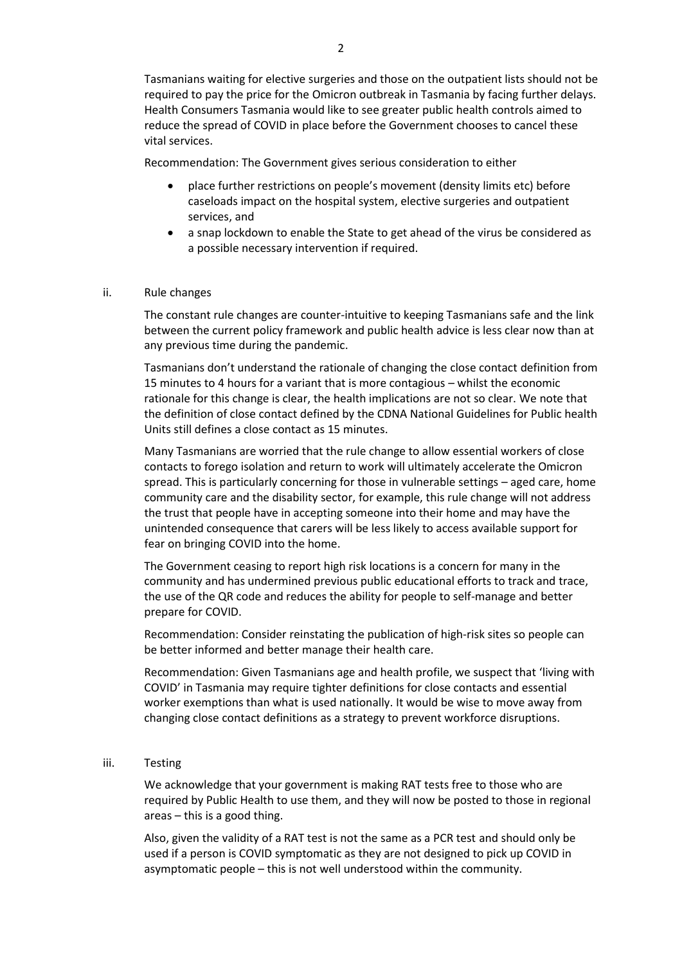Tasmanians waiting for elective surgeries and those on the outpatient lists should not be required to pay the price for the Omicron outbreak in Tasmania by facing further delays. Health Consumers Tasmania would like to see greater public health controls aimed to reduce the spread of COVID in place before the Government chooses to cancel these vital services.

Recommendation: The Government gives serious consideration to either

- place further restrictions on people's movement (density limits etc) before caseloads impact on the hospital system, elective surgeries and outpatient services, and
- a snap lockdown to enable the State to get ahead of the virus be considered as a possible necessary intervention if required.

## ii. Rule changes

The constant rule changes are counter-intuitive to keeping Tasmanians safe and the link between the current policy framework and public health advice is less clear now than at any previous time during the pandemic.

Tasmanians don't understand the rationale of changing the close contact definition from 15 minutes to 4 hours for a variant that is more contagious – whilst the economic rationale for this change is clear, the health implications are not so clear. We note that the definition of close contact defined by the CDNA National Guidelines for Public health Units still defines a close contact as 15 minutes.

Many Tasmanians are worried that the rule change to allow essential workers of close contacts to forego isolation and return to work will ultimately accelerate the Omicron spread. This is particularly concerning for those in vulnerable settings – aged care, home community care and the disability sector, for example, this rule change will not address the trust that people have in accepting someone into their home and may have the unintended consequence that carers will be less likely to access available support for fear on bringing COVID into the home.

The Government ceasing to report high risk locations is a concern for many in the community and has undermined previous public educational efforts to track and trace, the use of the QR code and reduces the ability for people to self-manage and better prepare for COVID.

Recommendation: Consider reinstating the publication of high-risk sites so people can be better informed and better manage their health care.

Recommendation: Given Tasmanians age and health profile, we suspect that 'living with COVID' in Tasmania may require tighter definitions for close contacts and essential worker exemptions than what is used nationally. It would be wise to move away from changing close contact definitions as a strategy to prevent workforce disruptions.

### iii. Testing

We acknowledge that your government is making RAT tests free to those who are required by Public Health to use them, and they will now be posted to those in regional areas – this is a good thing.

Also, given the validity of a RAT test is not the same as a PCR test and should only be used if a person is COVID symptomatic as they are not designed to pick up COVID in asymptomatic people – this is not well understood within the community.